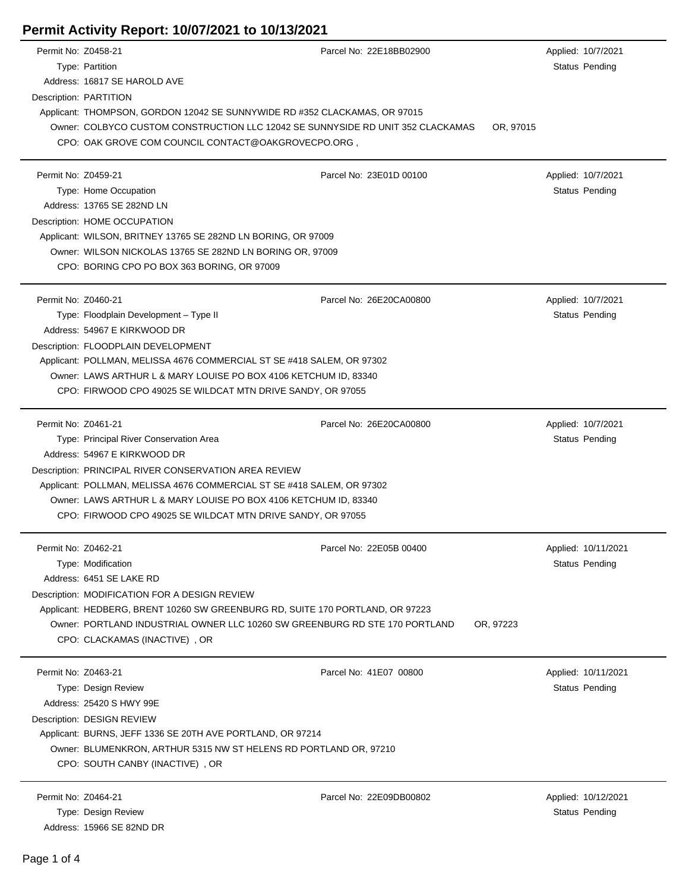| Permit No: Z0458-21 |                                                                                 | Parcel No: 22E18BB02900 | Applied: 10/7/2021    |  |
|---------------------|---------------------------------------------------------------------------------|-------------------------|-----------------------|--|
|                     | Type: Partition                                                                 |                         | Status Pending        |  |
|                     | Address: 16817 SE HAROLD AVE                                                    |                         |                       |  |
|                     | Description: PARTITION                                                          |                         |                       |  |
|                     | Applicant: THOMPSON, GORDON 12042 SE SUNNYWIDE RD #352 CLACKAMAS, OR 97015      |                         |                       |  |
|                     | Owner: COLBYCO CUSTOM CONSTRUCTION LLC 12042 SE SUNNYSIDE RD UNIT 352 CLACKAMAS | OR, 97015               |                       |  |
|                     | CPO: OAK GROVE COM COUNCIL CONTACT@OAKGROVECPO.ORG,                             |                         |                       |  |
| Permit No: Z0459-21 |                                                                                 | Parcel No: 23E01D 00100 | Applied: 10/7/2021    |  |
|                     | Type: Home Occupation                                                           |                         | <b>Status Pending</b> |  |
|                     | Address: 13765 SE 282ND LN                                                      |                         |                       |  |
|                     | Description: HOME OCCUPATION                                                    |                         |                       |  |
|                     | Applicant: WILSON, BRITNEY 13765 SE 282ND LN BORING, OR 97009                   |                         |                       |  |
|                     | Owner: WILSON NICKOLAS 13765 SE 282ND LN BORING OR, 97009                       |                         |                       |  |
|                     | CPO: BORING CPO PO BOX 363 BORING, OR 97009                                     |                         |                       |  |
|                     |                                                                                 |                         |                       |  |
| Permit No: Z0460-21 |                                                                                 | Parcel No: 26E20CA00800 | Applied: 10/7/2021    |  |
|                     | Type: Floodplain Development - Type II                                          |                         | <b>Status Pending</b> |  |
|                     | Address: 54967 E KIRKWOOD DR                                                    |                         |                       |  |
|                     | Description: FLOODPLAIN DEVELOPMENT                                             |                         |                       |  |
|                     | Applicant: POLLMAN, MELISSA 4676 COMMERCIAL ST SE #418 SALEM, OR 97302          |                         |                       |  |
|                     | Owner: LAWS ARTHUR L & MARY LOUISE PO BOX 4106 KETCHUM ID, 83340                |                         |                       |  |
|                     | CPO: FIRWOOD CPO 49025 SE WILDCAT MTN DRIVE SANDY, OR 97055                     |                         |                       |  |
| Permit No: Z0461-21 |                                                                                 | Parcel No: 26E20CA00800 | Applied: 10/7/2021    |  |
|                     | Type: Principal River Conservation Area                                         |                         | <b>Status Pending</b> |  |
|                     | Address: 54967 E KIRKWOOD DR                                                    |                         |                       |  |
|                     | Description: PRINCIPAL RIVER CONSERVATION AREA REVIEW                           |                         |                       |  |
|                     | Applicant: POLLMAN, MELISSA 4676 COMMERCIAL ST SE #418 SALEM, OR 97302          |                         |                       |  |
|                     | Owner: LAWS ARTHUR L & MARY LOUISE PO BOX 4106 KETCHUM ID, 83340                |                         |                       |  |
|                     | CPO: FIRWOOD CPO 49025 SE WILDCAT MTN DRIVE SANDY, OR 97055                     |                         |                       |  |
|                     |                                                                                 |                         |                       |  |
| Permit No: Z0462-21 |                                                                                 | Parcel No: 22E05B 00400 | Applied: 10/11/2021   |  |
|                     | Type: Modification                                                              |                         | Status Pending        |  |
|                     | Address: 6451 SE LAKE RD                                                        |                         |                       |  |
|                     | Description: MODIFICATION FOR A DESIGN REVIEW                                   |                         |                       |  |
|                     | Applicant: HEDBERG, BRENT 10260 SW GREENBURG RD, SUITE 170 PORTLAND, OR 97223   |                         |                       |  |
|                     | Owner: PORTLAND INDUSTRIAL OWNER LLC 10260 SW GREENBURG RD STE 170 PORTLAND     | OR, 97223               |                       |  |
|                     | CPO: CLACKAMAS (INACTIVE), OR                                                   |                         |                       |  |
| Permit No: Z0463-21 |                                                                                 | Parcel No: 41E07 00800  | Applied: 10/11/2021   |  |
|                     | Type: Design Review                                                             |                         | Status Pending        |  |
|                     | Address: 25420 S HWY 99E                                                        |                         |                       |  |
|                     | Description: DESIGN REVIEW                                                      |                         |                       |  |
|                     | Applicant: BURNS, JEFF 1336 SE 20TH AVE PORTLAND, OR 97214                      |                         |                       |  |
|                     | Owner: BLUMENKRON, ARTHUR 5315 NW ST HELENS RD PORTLAND OR, 97210               |                         |                       |  |
|                     | CPO: SOUTH CANBY (INACTIVE), OR                                                 |                         |                       |  |
| Permit No: Z0464-21 |                                                                                 | Parcel No: 22E09DB00802 | Applied: 10/12/2021   |  |
|                     | Type: Design Review                                                             |                         | <b>Status Pending</b> |  |
|                     | Address: 15966 SE 82ND DR                                                       |                         |                       |  |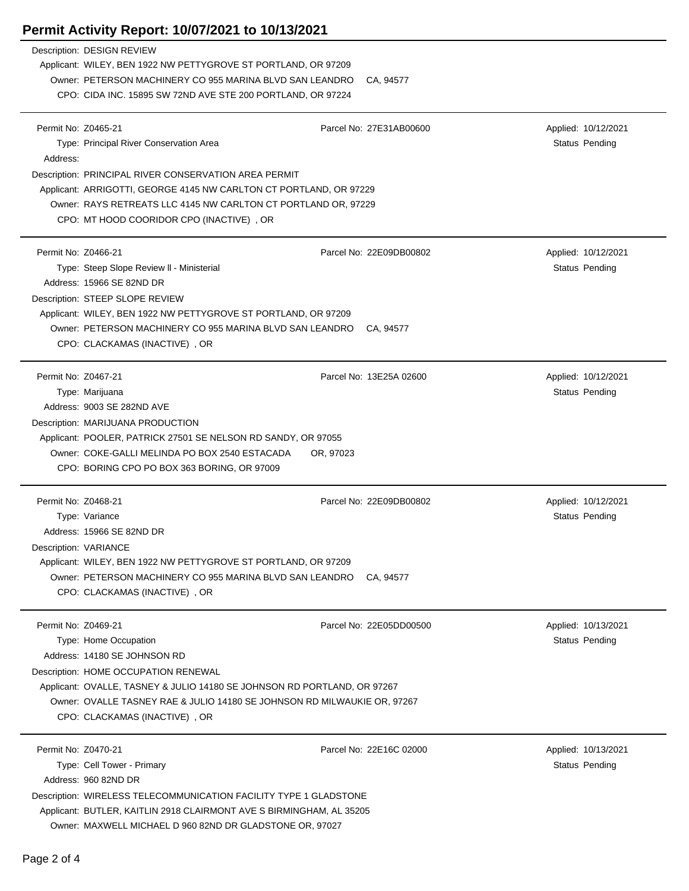|                                              | Description: DESIGN REVIEW<br>Applicant: WILEY, BEN 1922 NW PETTYGROVE ST PORTLAND, OR 97209<br>Owner: PETERSON MACHINERY CO 955 MARINA BLVD SAN LEANDRO                                                                                                                               | CA, 94577                            |                                       |
|----------------------------------------------|----------------------------------------------------------------------------------------------------------------------------------------------------------------------------------------------------------------------------------------------------------------------------------------|--------------------------------------|---------------------------------------|
|                                              | CPO: CIDA INC. 15895 SW 72ND AVE STE 200 PORTLAND, OR 97224                                                                                                                                                                                                                            |                                      |                                       |
| Permit No: Z0465-21<br>Address:              | Type: Principal River Conservation Area                                                                                                                                                                                                                                                | Parcel No: 27E31AB00600              | Applied: 10/12/2021<br>Status Pending |
|                                              | Description: PRINCIPAL RIVER CONSERVATION AREA PERMIT<br>Applicant: ARRIGOTTI, GEORGE 4145 NW CARLTON CT PORTLAND, OR 97229<br>Owner: RAYS RETREATS LLC 4145 NW CARLTON CT PORTLAND OR, 97229<br>CPO: MT HOOD COORIDOR CPO (INACTIVE), OR                                              |                                      |                                       |
| Permit No: Z0466-21                          | Type: Steep Slope Review II - Ministerial<br>Address: 15966 SE 82ND DR<br>Description: STEEP SLOPE REVIEW<br>Applicant: WILEY, BEN 1922 NW PETTYGROVE ST PORTLAND, OR 97209<br>Owner: PETERSON MACHINERY CO 955 MARINA BLVD SAN LEANDRO<br>CPO: CLACKAMAS (INACTIVE), OR               | Parcel No: 22E09DB00802<br>CA, 94577 | Applied: 10/12/2021<br>Status Pending |
| Permit No: Z0467-21                          | Type: Marijuana<br>Address: 9003 SE 282ND AVE<br>Description: MARIJUANA PRODUCTION<br>Applicant: POOLER, PATRICK 27501 SE NELSON RD SANDY, OR 97055<br>Owner: COKE-GALLI MELINDA PO BOX 2540 ESTACADA<br>OR, 97023<br>CPO: BORING CPO PO BOX 363 BORING, OR 97009                      | Parcel No: 13E25A 02600              | Applied: 10/12/2021<br>Status Pending |
| Permit No: Z0468-21<br>Description: VARIANCE | Type: Variance<br>Address: 15966 SE 82ND DR<br>Applicant: WILEY, BEN 1922 NW PETTYGROVE ST PORTLAND, OR 97209<br>Owner: PETERSON MACHINERY CO 955 MARINA BLVD SAN LEANDRO<br>CPO: CLACKAMAS (INACTIVE), OR                                                                             | Parcel No: 22E09DB00802<br>CA, 94577 | Applied: 10/12/2021<br>Status Pending |
| Permit No: Z0469-21                          | Type: Home Occupation<br>Address: 14180 SE JOHNSON RD<br>Description: HOME OCCUPATION RENEWAL<br>Applicant: OVALLE, TASNEY & JULIO 14180 SE JOHNSON RD PORTLAND, OR 97267<br>Owner: OVALLE TASNEY RAE & JULIO 14180 SE JOHNSON RD MILWAUKIE OR, 97267<br>CPO: CLACKAMAS (INACTIVE), OR | Parcel No: 22E05DD00500              | Applied: 10/13/2021<br>Status Pending |
| Permit No: Z0470-21                          | Type: Cell Tower - Primary<br>Address: 960 82ND DR<br>Description: WIRELESS TELECOMMUNICATION FACILITY TYPE 1 GLADSTONE<br>Applicant: BUTLER, KAITLIN 2918 CLAIRMONT AVE S BIRMINGHAM, AL 35205<br>Owner: MAXWELL MICHAEL D 960 82ND DR GLADSTONE OR, 97027                            | Parcel No: 22E16C 02000              | Applied: 10/13/2021<br>Status Pending |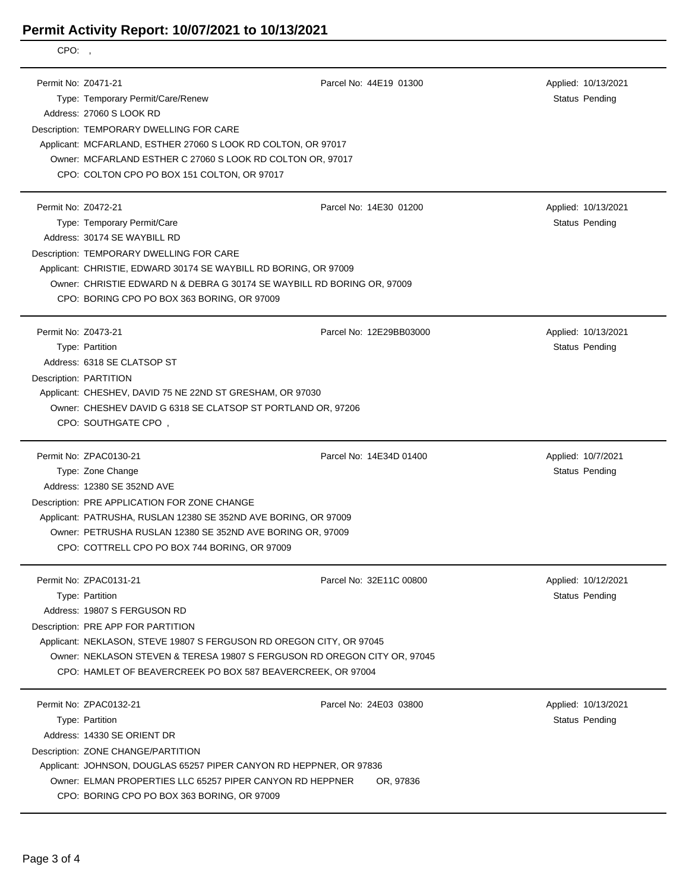| CPO:,                                         |                                                                                                                                                                                                                                                                                                                                     |                                     |                                              |
|-----------------------------------------------|-------------------------------------------------------------------------------------------------------------------------------------------------------------------------------------------------------------------------------------------------------------------------------------------------------------------------------------|-------------------------------------|----------------------------------------------|
| Permit No: Z0471-21                           | Type: Temporary Permit/Care/Renew<br>Address: 27060 S LOOK RD<br>Description: TEMPORARY DWELLING FOR CARE<br>Applicant: MCFARLAND, ESTHER 27060 S LOOK RD COLTON, OR 97017<br>Owner: MCFARLAND ESTHER C 27060 S LOOK RD COLTON OR, 97017<br>CPO: COLTON CPO PO BOX 151 COLTON, OR 97017                                             | Parcel No: 44E19 01300              | Applied: 10/13/2021<br><b>Status Pending</b> |
| Permit No: Z0472-21                           | Type: Temporary Permit/Care<br>Address: 30174 SE WAYBILL RD<br>Description: TEMPORARY DWELLING FOR CARE<br>Applicant: CHRISTIE, EDWARD 30174 SE WAYBILL RD BORING, OR 97009<br>Owner: CHRISTIE EDWARD N & DEBRA G 30174 SE WAYBILL RD BORING OR, 97009<br>CPO: BORING CPO PO BOX 363 BORING, OR 97009                               | Parcel No: 14E30 01200              | Applied: 10/13/2021<br><b>Status Pending</b> |
| Permit No: Z0473-21<br>Description: PARTITION | Type: Partition<br>Address: 6318 SE CLATSOP ST<br>Applicant: CHESHEV, DAVID 75 NE 22ND ST GRESHAM, OR 97030<br>Owner: CHESHEV DAVID G 6318 SE CLATSOP ST PORTLAND OR, 97206<br>CPO: SOUTHGATE CPO,                                                                                                                                  | Parcel No: 12E29BB03000             | Applied: 10/13/2021<br><b>Status Pending</b> |
|                                               | Permit No: ZPAC0130-21<br>Type: Zone Change<br>Address: 12380 SE 352ND AVE<br>Description: PRE APPLICATION FOR ZONE CHANGE<br>Applicant: PATRUSHA, RUSLAN 12380 SE 352ND AVE BORING, OR 97009<br>Owner: PETRUSHA RUSLAN 12380 SE 352ND AVE BORING OR, 97009<br>CPO: COTTRELL CPO PO BOX 744 BORING, OR 97009                        | Parcel No: 14E34D 01400             | Applied: 10/7/2021<br><b>Status Pending</b>  |
|                                               | Permit No: ZPAC0131-21<br>Type: Partition<br>Address: 19807 S FERGUSON RD<br>Description: PRE APP FOR PARTITION<br>Applicant: NEKLASON, STEVE 19807 S FERGUSON RD OREGON CITY, OR 97045<br>Owner: NEKLASON STEVEN & TERESA 19807 S FERGUSON RD OREGON CITY OR, 97045<br>CPO: HAMLET OF BEAVERCREEK PO BOX 587 BEAVERCREEK, OR 97004 | Parcel No: 32E11C 00800             | Applied: 10/12/2021<br><b>Status Pending</b> |
|                                               | Permit No: ZPAC0132-21<br>Type: Partition<br>Address: 14330 SE ORIENT DR<br>Description: ZONE CHANGE/PARTITION<br>Applicant: JOHNSON, DOUGLAS 65257 PIPER CANYON RD HEPPNER, OR 97836<br>Owner: ELMAN PROPERTIES LLC 65257 PIPER CANYON RD HEPPNER<br>CPO: BORING CPO PO BOX 363 BORING, OR 97009                                   | Parcel No: 24E03 03800<br>OR, 97836 | Applied: 10/13/2021<br><b>Status Pending</b> |